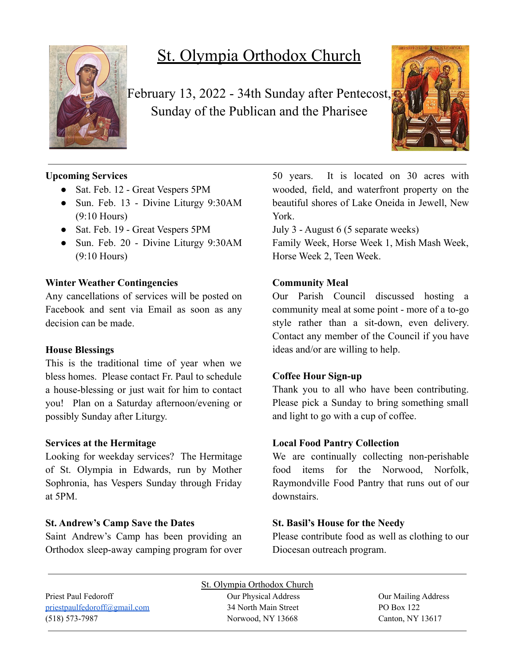

# St. Olympia Orthodox Church

February 13, 2022 - 34th Sunday after Pentecost, Sunday of the Publican and the Pharisee



# **Upcoming Services**

- Sat. Feb. 12 Great Vespers 5PM
- Sun. Feb. 13 Divine Liturgy 9:30AM (9:10 Hours)
- Sat. Feb. 19 Great Vespers 5PM
- Sun. Feb. 20 Divine Liturgy 9:30AM (9:10 Hours)

#### **Winter Weather Contingencies**

Any cancellations of services will be posted on Facebook and sent via Email as soon as any decision can be made.

#### **House Blessings**

This is the traditional time of year when we bless homes. Please contact Fr. Paul to schedule a house-blessing or just wait for him to contact you! Plan on a Saturday afternoon/evening or possibly Sunday after Liturgy.

## **Services at the Hermitage**

Looking for weekday services? The Hermitage of St. Olympia in Edwards, run by Mother Sophronia, has Vespers Sunday through Friday at 5PM.

## **St. Andrew's Camp Save the Dates**

Saint Andrew's Camp has been providing an Orthodox sleep-away camping program for over 50 years. It is located on 30 acres with wooded, field, and waterfront property on the beautiful shores of Lake Oneida in Jewell, New York.

July 3 - August 6 (5 separate weeks)

Family Week, Horse Week 1, Mish Mash Week, Horse Week 2, Teen Week.

# **Community Meal**

Our Parish Council discussed hosting a community meal at some point - more of a to-go style rather than a sit-down, even delivery. Contact any member of the Council if you have ideas and/or are willing to help.

## **Coffee Hour Sign-up**

Thank you to all who have been contributing. Please pick a Sunday to bring something small and light to go with a cup of coffee.

## **Local Food Pantry Collection**

We are continually collecting non-perishable food items for the Norwood, Norfolk, Raymondville Food Pantry that runs out of our downstairs.

# **St. Basil's House for the Needy**

Please contribute food as well as clothing to our Diocesan outreach program.

|                                     | St. Olympia Orthodox Church |                     |
|-------------------------------------|-----------------------------|---------------------|
| Priest Paul Fedoroff                | Our Physical Address        | Our Mailing Address |
| <u>priestpaulfedoroff@gmail.com</u> | 34 North Main Street        | PO Box 122          |
| $(518) 573 - 7987$                  | Norwood, NY 13668           | Canton, NY 13617    |